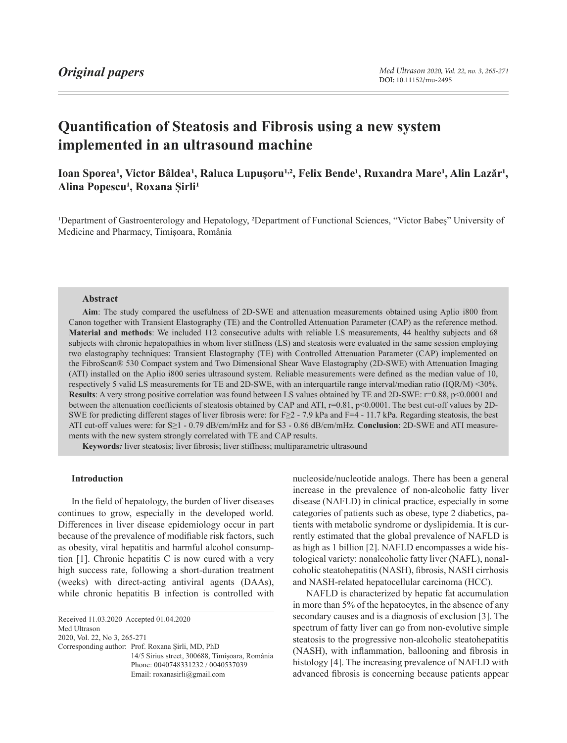# **Quantification of Steatosis and Fibrosis using a new system implemented in an ultrasound machine**

Ioan Sporea<sup>1</sup>, Victor Bâldea<sup>1</sup>, Raluca Lupușoru<sup>1,2</sup>, Felix Bende<sup>1</sup>, Ruxandra Mare<sup>1</sup>, Alin Lazăr<sup>1</sup>, Alina Popescu<sup>1</sup>, Roxana Sirli<sup>1</sup>

<sup>1</sup>Department of Gastroenterology and Hepatology, <sup>2</sup>Department of Functional Sciences, "Victor Babeș" University of Medicine and Pharmacy, Timișoara, România

#### **Abstract**

**Aim**: The study compared the usefulness of 2D-SWE and attenuation measurements obtained using Aplio i800 from Canon together with Transient Elastography (TE) and the Controlled Attenuation Parameter (CAP) as the reference method. **Material and methods**: We included 112 consecutive adults with reliable LS measurements, 44 healthy subjects and 68 subjects with chronic hepatopathies in whom liver stiffness (LS) and steatosis were evaluated in the same session employing two elastography techniques: Transient Elastography (TE) with Controlled Attenuation Parameter (CAP) implemented on the FibroScan® 530 Compact system and Two Dimensional Shear Wave Elastography (2D-SWE) with Attenuation Imaging (ATI) installed on the Aplio i800 series ultrasound system. Reliable measurements were defined as the median value of 10, respectively 5 valid LS measurements for TE and 2D-SWE, with an interquartile range interval/median ratio (IQR/M) <30%. **Results**: A very strong positive correlation was found between LS values obtained by TE and 2D-SWE: r=0.88, p<0.0001 and between the attenuation coefficients of steatosis obtained by CAP and ATI, r=0.81, p<0.0001. The best cut-off values by 2D-SWE for predicting different stages of liver fibrosis were: for F $\geq$  - 7.9 kPa and F=4 - 11.7 kPa. Regarding steatosis, the best ATI cut-off values were: for S≥1 - 0.79 dB/cm/mHz and for S3 - 0.86 dB/cm/mHz. **Conclusion**: 2D-SWE and ATI measurements with the new system strongly correlated with TE and CAP results.

**Keywords***:* liver steatosis; liver fibrosis; liver stiffness; multiparametric ultrasound

# **Introduction**

In the field of hepatology, the burden of liver diseases continues to grow, especially in the developed world. Differences in liver disease epidemiology occur in part because of the prevalence of modifiable risk factors, such as obesity, viral hepatitis and harmful alcohol consumption [1]. Chronic hepatitis C is now cured with a very high success rate, following a short-duration treatment (weeks) with direct-acting antiviral agents (DAAs), while chronic hepatitis B infection is controlled with

<span id="page-0-0"></span>Received 11.03.2020 Accepted 01.04.2020

Med Ultrason

2020, Vol. 22, No 3, [265-](#page-0-0)271

Corresponding author: Prof. Roxana Şirli, MD, PhD 14/5 Sirius street, 300688, Timişoara, România Phone: 0040748331232 / 0040537039 Email: roxanasirli@gmail.com

nucleoside/nucleotide analogs. There has been a general increase in the prevalence of non-alcoholic fatty liver disease (NAFLD) in clinical practice, especially in some categories of patients such as obese, type 2 diabetics, patients with metabolic syndrome or dyslipidemia. It is currently estimated that the global prevalence of NAFLD is as high as 1 billion [2]. NAFLD encompasses a wide histological variety: nonalcoholic fatty liver (NAFL), nonalcoholic steatohepatitis (NASH), fibrosis, NASH cirrhosis and NASH-related hepatocellular carcinoma (HCC).

NAFLD is characterized by hepatic fat accumulation in more than 5% of the hepatocytes, in the absence of any secondary causes and is a diagnosis of exclusion [3]. The spectrum of fatty liver can go from non-evolutive simple steatosis to the progressive non-alcoholic steatohepatitis (NASH), with inflammation, ballooning and fibrosis in histology [4]. The increasing prevalence of NAFLD with advanced fibrosis is concerning because patients appear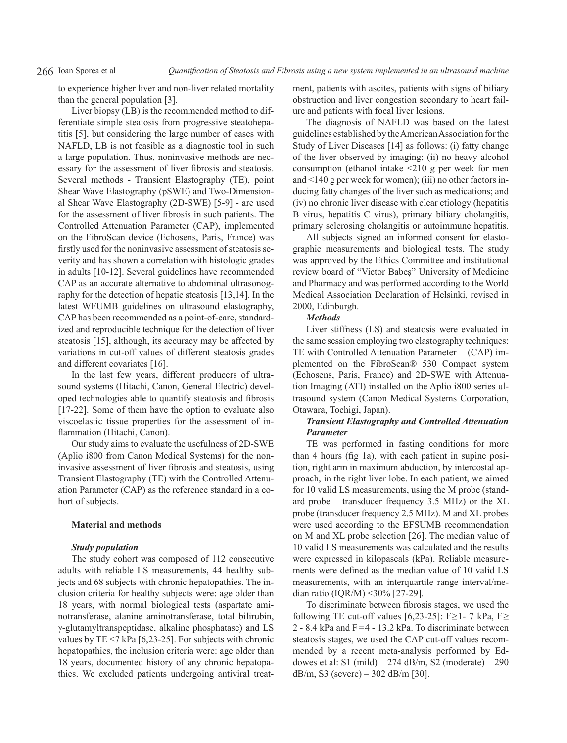to experience higher liver and non-liver related mortality than the general population [3].

Liver biopsy (LB) is the recommended method to differentiate simple steatosis from progressive steatohepatitis [5], but considering the large number of cases with NAFLD, LB is not feasible as a diagnostic tool in such a large population. Thus, noninvasive methods are necessary for the assessment of liver fibrosis and steatosis. Several methods - Transient Elastography (TE), point Shear Wave Elastography (pSWE) and Two-Dimensional Shear Wave Elastography (2D-SWE) [5-9] - are used for the assessment of liver fibrosis in such patients. The Controlled Attenuation Parameter (CAP), implemented on the FibroScan device (Echosens, Paris, France) was firstly used for the noninvasive assessment of steatosis severity and has shown a correlation with histologic grades in adults [10-12]. Several guidelines have recommended CAP as an accurate alternative to abdominal ultrasonography for the detection of hepatic steatosis [13,14]. In the latest WFUMB guidelines on ultrasound elastography, CAP has been recommended as a point-of-care, standardized and reproducible technique for the detection of liver steatosis [15], although, its accuracy may be affected by variations in cut-off values of different steatosis grades and different covariates [16].

In the last few years, different producers of ultrasound systems (Hitachi, Canon, General Electric) developed technologies able to quantify steatosis and fibrosis [17-22]. Some of them have the option to evaluate also viscoelastic tissue properties for the assessment of inflammation (Hitachi, Canon).

Our study aims to evaluate the usefulness of 2D-SWE (Aplio i800 from Canon Medical Systems) for the noninvasive assessment of liver fibrosis and steatosis, using Transient Elastography (TE) with the Controlled Attenuation Parameter (CAP) as the reference standard in a cohort of subjects.

# **Material and methods**

# *Study population*

The study cohort was composed of 112 consecutive adults with reliable LS measurements, 44 healthy subjects and 68 subjects with chronic hepatopathies. The inclusion criteria for healthy subjects were: age older than 18 years, with normal biological tests (aspartate aminotransferase, alanine aminotransferase, total bilirubin, γ-glutamyltranspeptidase, alkaline phosphatase) and LS values by TE <7 kPa [6,23-25]. For subjects with chronic hepatopathies, the inclusion criteria were: age older than 18 years, documented history of any chronic hepatopathies. We excluded patients undergoing antiviral treatment, patients with ascites, patients with signs of biliary obstruction and liver congestion secondary to heart failure and patients with focal liver lesions.

The diagnosis of NAFLD was based on the latest guidelines established by the American Association for the Study of Liver Diseases [14] as follows: (i) fatty change of the liver observed by imaging; (ii) no heavy alcohol consumption (ethanol intake  $\leq$  210 g per week for men and <140 g per week for women); (iii) no other factors inducing fatty changes of the liver such as medications; and (iv) no chronic liver disease with clear etiology (hepatitis B virus, hepatitis C virus), primary biliary cholangitis, primary sclerosing cholangitis or autoimmune hepatitis.

All subjects signed an informed consent for elastographic measurements and biological tests. The study was approved by the Ethics Committee and institutional review board of "Victor Babeș" University of Medicine and Pharmacy and was performed according to the World Medical Association Declaration of Helsinki, revised in 2000, Edinburgh.

# *Methods*

Liver stiffness (LS) and steatosis were evaluated in the same session employing two elastography techniques: TE with Controlled Attenuation Parameter (CAP) implemented on the FibroScan® 530 Compact system (Echosens, Paris, France) and 2D-SWE with Attenuation Imaging (ATI) installed on the Aplio i800 series ultrasound system (Canon Medical Systems Corporation, Otawara, Tochigi, Japan).

# *Transient Elastography and Controlled Attenuation Parameter*

TE was performed in fasting conditions for more than 4 hours (fig 1a), with each patient in supine position, right arm in maximum abduction, by intercostal approach, in the right liver lobe. In each patient, we aimed for 10 valid LS measurements, using the M probe (standard probe – transducer frequency 3.5 MHz) or the XL probe (transducer frequency 2.5 MHz). M and XL probes were used according to the EFSUMB recommendation on M and XL probe selection [26]. The median value of 10 valid LS measurements was calculated and the results were expressed in kilopascals (kPa). Reliable measurements were defined as the median value of 10 valid LS measurements, with an interquartile range interval/median ratio (IQR/M) <30% [27-29].

To discriminate between fibrosis stages, we used the following TE cut-off values [6,23-25]: F≥1- 7 kPa, F≥ 2 - 8.4 kPa and F=4 - 13.2 kPa. To discriminate between steatosis stages, we used the CAP cut-off values recommended by a recent meta-analysis performed by Eddowes et al: S1 (mild) –  $274$  dB/m, S2 (moderate) –  $290$ dB/m, S3 (severe) – 302 dB/m [30].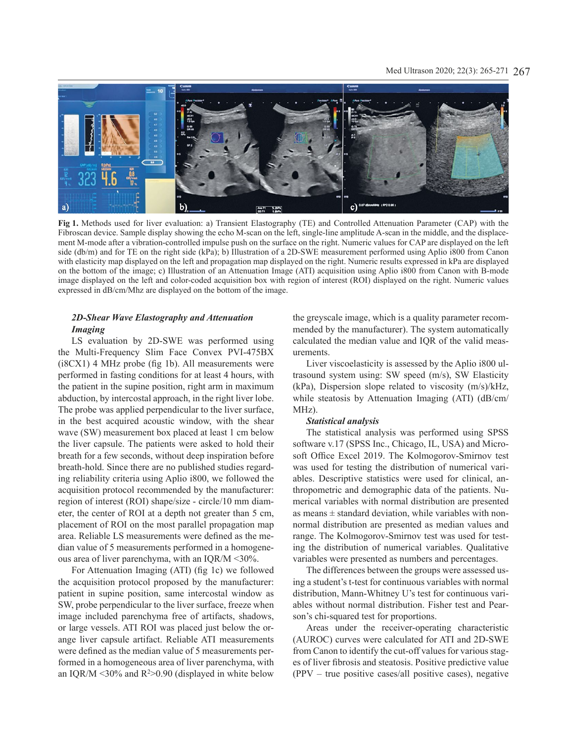

**Fig 1.** Methods used for liver evaluation: a) Transient Elastography (TE) and Controlled Attenuation Parameter (CAP) with the Fibroscan device. Sample display showing the echo M-scan on the left, single-line amplitude A-scan in the middle, and the displacement M-mode after a vibration-controlled impulse push on the surface on the right. Numeric values for CAP are displayed on the left side (db/m) and for TE on the right side (kPa); b) Illustration of a 2D-SWE measurement performed using Aplio i800 from Canon with elasticity map displayed on the left and propagation map displayed on the right. Numeric results expressed in kPa are displayed on the bottom of the image; c) Illustration of an Attenuation Image (ATI) acquisition using Aplio i800 from Canon with B-mode image displayed on the left and color-coded acquisition box with region of interest (ROI) displayed on the right. Numeric values expressed in dB/cm/Mhz are displayed on the bottom of the image.

# *2D-Shear Wave Elastography and Attenuation Imaging*

LS evaluation by 2D-SWE was performed using the Multi-Frequency Slim Face Convex PVI-475BX (i8CX1) 4 MHz probe (fig 1b). All measurements were performed in fasting conditions for at least 4 hours, with the patient in the supine position, right arm in maximum abduction, by intercostal approach, in the right liver lobe. The probe was applied perpendicular to the liver surface, in the best acquired acoustic window, with the shear wave (SW) measurement box placed at least 1 cm below the liver capsule. The patients were asked to hold their breath for a few seconds, without deep inspiration before breath-hold. Since there are no published studies regarding reliability criteria using Aplio i800, we followed the acquisition protocol recommended by the manufacturer: region of interest (ROI) shape/size - circle/10 mm diameter, the center of ROI at a depth not greater than 5 cm, placement of ROI on the most parallel propagation map area. Reliable LS measurements were defined as the median value of 5 measurements performed in a homogeneous area of liver parenchyma, with an IQR/M <30%.

For Attenuation Imaging (ATI) (fig 1c) we followed the acquisition protocol proposed by the manufacturer: patient in supine position, same intercostal window as SW, probe perpendicular to the liver surface, freeze when image included parenchyma free of artifacts, shadows, or large vessels. ATI ROI was placed just below the orange liver capsule artifact. Reliable ATI measurements were defined as the median value of 5 measurements performed in a homogeneous area of liver parenchyma, with an IOR/M  $\leq$ 30% and R<sup>2</sup> $>$ 0.90 (displayed in white below the greyscale image, which is a quality parameter recommended by the manufacturer). The system automatically calculated the median value and IQR of the valid measurements.

Liver viscoelasticity is assessed by the Aplio i800 ultrasound system using: SW speed (m/s), SW Elasticity (kPa), Dispersion slope related to viscosity (m/s)/kHz, while steatosis by Attenuation Imaging (ATI) (dB/cm/ MHz).

#### *Statistical analysis*

The statistical analysis was performed using SPSS software v.17 (SPSS Inc., Chicago, IL, USA) and Microsoft Office Excel 2019. The Kolmogorov-Smirnov test was used for testing the distribution of numerical variables. Descriptive statistics were used for clinical, anthropometric and demographic data of the patients. Numerical variables with normal distribution are presented as means  $\pm$  standard deviation, while variables with nonnormal distribution are presented as median values and range. The Kolmogorov-Smirnov test was used for testing the distribution of numerical variables. Qualitative variables were presented as numbers and percentages.

The differences between the groups were assessed using a student's t-test for continuous variables with normal distribution, Mann-Whitney U's test for continuous variables without normal distribution. Fisher test and Pearson's chi-squared test for proportions.

Areas under the receiver-operating characteristic (AUROC) curves were calculated for ATI and 2D-SWE from Canon to identify the cut-off values for various stages of liver fibrosis and steatosis. Positive predictive value (PPV – true positive cases/all positive cases), negative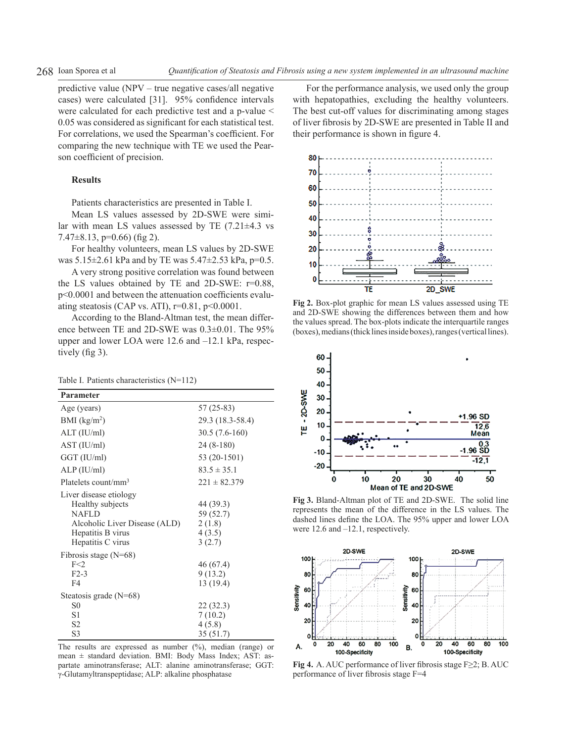predictive value (NPV – true negative cases/all negative cases) were calculated [31]. 95% confidence intervals were calculated for each predictive test and a p-value < 0.05 was considered as significant for each statistical test. For correlations, we used the Spearman's coefficient. For comparing the new technique with TE we used the Pearson coefficient of precision.

### **Results**

Patients characteristics are presented in Table I.

Mean LS values assessed by 2D-SWE were similar with mean LS values assessed by TE  $(7.21 \pm 4.3 \text{ vs } 1.21 \pm 1.3 \text{ vs } 1.21 \pm 1.3 \text{ vs } 1.21 \pm 1.3 \text{ vs } 1.21 \pm 1.3 \text{ vs } 1.31 \pm 1.3 \text{ vs } 1.31 \pm 1.3 \text{ vs } 1.31 \pm 1.3 \text{ vs } 1.31 \pm 1.3 \text{ vs } 1.31 \pm 1.3 \text{ vs } 1.31 \pm 1.3 \text{ vs } 1.31$  $7.47\pm8.13$ , p=0.66) (fig 2).

For healthy volunteers, mean LS values by 2D-SWE was  $5.15\pm2.61$  kPa and by TE was  $5.47\pm2.53$  kPa, p=0.5.

A very strong positive correlation was found between the LS values obtained by TE and 2D-SWE: r=0.88, p<0.0001 and between the attenuation coefficients evaluating steatosis (CAP vs. ATI),  $r=0.81$ ,  $p<0.0001$ .

According to the Bland-Altman test, the mean difference between TE and 2D-SWE was 0.3±0.01. The 95% upper and lower LOA were 12.6 and –12.1 kPa, respectively (fig 3).

|  |  | Table I. Patients characteristics (N=112) |  |  |
|--|--|-------------------------------------------|--|--|
|--|--|-------------------------------------------|--|--|

| Parameter                                                                                                                             |                                                      |  |  |  |
|---------------------------------------------------------------------------------------------------------------------------------------|------------------------------------------------------|--|--|--|
| Age (years)                                                                                                                           | 57 (25-83)                                           |  |  |  |
| BMI $(kg/m2)$                                                                                                                         | 29.3 (18.3-58.4)                                     |  |  |  |
| ALT (IU/ml)                                                                                                                           | $30.5(7.6-160)$                                      |  |  |  |
| AST (IU/ml)                                                                                                                           | 24 (8-180)                                           |  |  |  |
| GGT (IU/ml)                                                                                                                           | 53 (20-1501)                                         |  |  |  |
| ALP (IU/ml)                                                                                                                           | $83.5 \pm 35.1$                                      |  |  |  |
| Platelets count/mm <sup>3</sup>                                                                                                       | $221 \pm 82.379$                                     |  |  |  |
| Liver disease etiology<br>Healthy subjects<br><b>NAFLD</b><br>Alcoholic Liver Disease (ALD)<br>Hepatitis B virus<br>Hepatitis C virus | 44 (39.3)<br>59 (52.7)<br>2(1.8)<br>4(3.5)<br>3(2.7) |  |  |  |
| Fibrosis stage $(N=68)$<br>F<2<br>$F2-3$<br>F4                                                                                        | 46 (67.4)<br>9(13.2)<br>13(19.4)                     |  |  |  |
| Steatosis grade $(N=68)$<br>S <sub>0</sub><br>S1<br>S <sub>2</sub><br>S3                                                              | 22 (32.3)<br>7(10.2)<br>4(5.8)<br>35(51.7)           |  |  |  |

The results are expressed as number  $(\%)$ , median (range) or mean ± standard deviation. BMI: Body Mass Index; AST: aspartate aminotransferase; ALT: alanine aminotransferase; GGT: γ-Glutamyltranspeptidase; ALP: alkaline phosphatase

For the performance analysis, we used only the group with hepatopathies, excluding the healthy volunteers. The best cut-off values for discriminating among stages of liver fibrosis by 2D-SWE are presented in Table II and their performance is shown in figure 4.



**Fig 2.** Box-plot graphic for mean LS values assessed using TE and 2D-SWE showing the differences between them and how the values spread. The box-plots indicate the interquartile ranges (boxes), medians (thick lines inside boxes), ranges (vertical lines).



**Fig 3.** Bland-Altman plot of TE and 2D-SWE. The solid line represents the mean of the difference in the LS values. The dashed lines define the LOA. The 95% upper and lower LOA were 12.6 and –12.1, respectively.



**Fig 4.** A. AUC performance of liver fibrosis stage F≥2; B. AUC performance of liver fibrosis stage F=4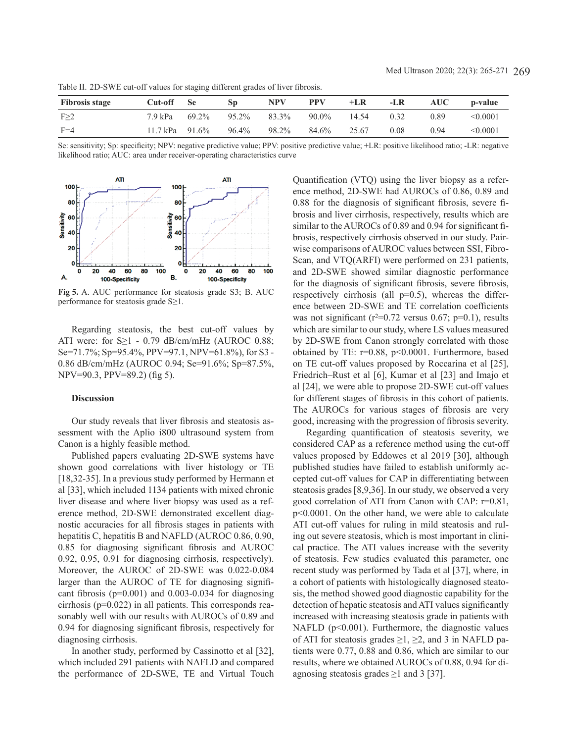| Table II. 2D-SWE cut-off values for staging different grades of liver fibrosis. |                   |       |          |            |            |       |      |      |               |  |
|---------------------------------------------------------------------------------|-------------------|-------|----------|------------|------------|-------|------|------|---------------|--|
| <b>Fibrosis stage</b>                                                           | Cut-off Se        |       | SD       | <b>NPV</b> | <b>PPV</b> | $+LR$ | -LR  | AUC- | p-value       |  |
| F>2                                                                             | 7.9 kPa           | 69.2% | $95.2\%$ | 83.3%      | $90.0\%$   | 14.54 | 0.32 | 0.89 | $\leq 0.0001$ |  |
| $F=4$                                                                           | 11.7 kPa $91.6\%$ |       | $96.4\%$ | 98.2%      | 84.6%      | 25.67 | 0.08 | 0 94 | $\leq 0.0001$ |  |

Se: sensitivity; Sp: specificity; NPV: negative predictive value; PPV: positive predictive value; +LR: positive likelihood ratio; -LR: negative likelihood ratio; AUC: area under receiver-operating characteristics curve



**Fig 5.** A. AUC performance for steatosis grade S3; B. AUC performance for steatosis grade S≥1.

Regarding steatosis, the best cut-off values by ATI were: for  $S \ge 1$  - 0.79 dB/cm/mHz (AUROC 0.88; Se=71.7%; Sp=95.4%, PPV=97.1, NPV=61.8%), for S3 - 0.86 dB/cm/mHz (AUROC 0.94; Se=91.6%; Sp=87.5%, NPV=90.3, PPV=89.2) (fig 5).

#### **Discussion**

Our study reveals that liver fibrosis and steatosis assessment with the Aplio i800 ultrasound system from Canon is a highly feasible method.

Published papers evaluating 2D-SWE systems have shown good correlations with liver histology or TE [18,32-35]. In a previous study performed by Hermann et al [33], which included 1134 patients with mixed chronic liver disease and where liver biopsy was used as a reference method, 2D-SWE demonstrated excellent diagnostic accuracies for all fibrosis stages in patients with hepatitis C, hepatitis B and NAFLD (AUROC 0.86, 0.90, 0.85 for diagnosing significant fibrosis and AUROC 0.92, 0.95, 0.91 for diagnosing cirrhosis, respectively). Moreover, the AUROC of 2D-SWE was 0.022-0.084 larger than the AUROC of TE for diagnosing significant fibrosis ( $p=0.001$ ) and 0.003-0.034 for diagnosing cirrhosis (p=0.022) in all patients. This corresponds reasonably well with our results with AUROCs of 0.89 and 0.94 for diagnosing significant fibrosis, respectively for diagnosing cirrhosis.

In another study, performed by Cassinotto et al [32], which included 291 patients with NAFLD and compared the performance of 2D-SWE, TE and Virtual Touch Quantification (VTQ) using the liver biopsy as a reference method, 2D-SWE had AUROCs of 0.86, 0.89 and 0.88 for the diagnosis of significant fibrosis, severe fibrosis and liver cirrhosis, respectively, results which are similar to the AUROCs of 0.89 and 0.94 for significant fibrosis, respectively cirrhosis observed in our study. Pairwise comparisons of AUROC values between SSI, Fibro-Scan, and VTQ(ARFI) were performed on 231 patients, and 2D-SWE showed similar diagnostic performance for the diagnosis of significant fibrosis, severe fibrosis, respectively cirrhosis (all  $p=0.5$ ), whereas the difference between 2D-SWE and TE correlation coefficients was not significant ( $r^2=0.72$  versus 0.67;  $p=0.1$ ), results which are similar to our study, where LS values measured by 2D-SWE from Canon strongly correlated with those obtained by TE: r=0.88, p<0.0001. Furthermore, based on TE cut-off values proposed by Roccarina et al [25], Friedrich–Rust et al [6], Kumar et al [23] and Imajo et al [24], we were able to propose 2D-SWE cut-off values for different stages of fibrosis in this cohort of patients. The AUROCs for various stages of fibrosis are very good, increasing with the progression of fibrosis severity.

Regarding quantification of steatosis severity, we considered CAP as a reference method using the cut-off values proposed by Eddowes et al 2019 [30], although published studies have failed to establish uniformly accepted cut-off values for CAP in differentiating between steatosis grades [8,9,36]. In our study, we observed a very good correlation of ATI from Canon with CAP: r=0.81, p<0.0001. On the other hand, we were able to calculate ATI cut-off values for ruling in mild steatosis and ruling out severe steatosis, which is most important in clinical practice. The ATI values increase with the severity of steatosis. Few studies evaluated this parameter, one recent study was performed by Tada et al [37], where, in a cohort of patients with histologically diagnosed steatosis, the method showed good diagnostic capability for the detection of hepatic steatosis and ATI values significantly increased with increasing steatosis grade in patients with NAFLD ( $p<0.001$ ). Furthermore, the diagnostic values of ATI for steatosis grades  $\geq 1$ ,  $\geq 2$ , and 3 in NAFLD patients were 0.77, 0.88 and 0.86, which are similar to our results, where we obtained AUROCs of 0.88, 0.94 for diagnosing steatosis grades  $\geq 1$  and 3 [37].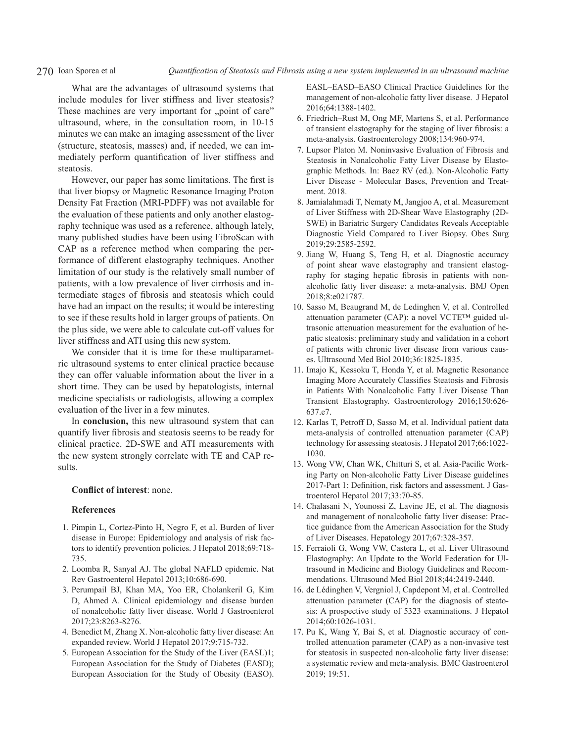270 Ioan Sporea et al *Quantification of Steatosis and Fibrosis using a new system implemented in an ultrasound machine*

What are the advantages of ultrasound systems that include modules for liver stiffness and liver steatosis? These machines are very important for "point of care" ultrasound, where, in the consultation room, in 10-15 minutes we can make an imaging assessment of the liver (structure, steatosis, masses) and, if needed, we can immediately perform quantification of liver stiffness and steatosis.

However, our paper has some limitations. The first is that liver biopsy or Magnetic Resonance Imaging Proton Density Fat Fraction (MRI-PDFF) was not available for the evaluation of these patients and only another elastography technique was used as a reference, although lately, many published studies have been using FibroScan with CAP as a reference method when comparing the performance of different elastography techniques. Another limitation of our study is the relatively small number of patients, with a low prevalence of liver cirrhosis and intermediate stages of fibrosis and steatosis which could have had an impact on the results; it would be interesting to see if these results hold in larger groups of patients. On the plus side, we were able to calculate cut-off values for liver stiffness and ATI using this new system.

We consider that it is time for these multiparametric ultrasound systems to enter clinical practice because they can offer valuable information about the liver in a short time. They can be used by hepatologists, internal medicine specialists or radiologists, allowing a complex evaluation of the liver in a few minutes.

In **conclusion,** this new ultrasound system that can quantify liver fibrosis and steatosis seems to be ready for clinical practice. 2D-SWE and ATI measurements with the new system strongly correlate with TE and CAP results.

# **Conflict of interest**: none.

### **References**

- 1. Pimpin L, Cortez-Pinto H, Negro F, et al. Burden of liver disease in Europe: Epidemiology and analysis of risk factors to identify prevention policies. J Hepatol 2018;69:718- 735.
- 2. Loomba R, Sanyal AJ. The global NAFLD epidemic. Nat Rev Gastroenterol Hepatol 2013;10:686-690.
- 3. Perumpail BJ, Khan MA, Yoo ER, Cholankeril G, Kim D, Ahmed A. Clinical epidemiology and disease burden of nonalcoholic fatty liver disease. World J Gastroenterol 2017;23:8263-8276.
- 4. Benedict M, Zhang X. Non-alcoholic fatty liver disease: An expanded review. World J Hepatol 2017;9:715-732.
- 5. European Association for the Study of the Liver (EASL)1; European Association for the Study of Diabetes (EASD); European Association for the Study of Obesity (EASO).

EASL–EASD–EASO Clinical Practice Guidelines for the management of non-alcoholic fatty liver disease. J Hepatol 2016;64:1388-1402.

- 6. Friedrich–Rust M, Ong MF, Martens S, et al. Performance of transient elastography for the staging of liver fibrosis: a meta-analysis. Gastroenterology 2008;134:960-974.
- 7. Lupsor Platon M. Noninvasive Evaluation of Fibrosis and Steatosis in Nonalcoholic Fatty Liver Disease by Elastographic Methods. In: Baez RV (ed.). Non-Alcoholic Fatty Liver Disease - Molecular Bases, Prevention and Treatment. 2018.
- 8. Jamialahmadi T, Nematy M, Jangjoo A, et al. Measurement of Liver Stiffness with 2D-Shear Wave Elastography (2D-SWE) in Bariatric Surgery Candidates Reveals Acceptable Diagnostic Yield Compared to Liver Biopsy. Obes Surg 2019;29:2585-2592.
- 9. Jiang W, Huang S, Teng H, et al. Diagnostic accuracy of point shear wave elastography and transient elastography for staging hepatic fibrosis in patients with nonalcoholic fatty liver disease: a meta-analysis. BMJ Open 2018;8:e021787.
- 10. Sasso M, Beaugrand M, de Ledinghen V, et al. Controlled attenuation parameter (CAP): a novel VCTE™ guided ultrasonic attenuation measurement for the evaluation of hepatic steatosis: preliminary study and validation in a cohort of patients with chronic liver disease from various causes. Ultrasound Med Biol 2010;36:1825-1835.
- 11. Imajo K, Kessoku T, Honda Y, et al. Magnetic Resonance Imaging More Accurately Classifies Steatosis and Fibrosis in Patients With Nonalcoholic Fatty Liver Disease Than Transient Elastography. Gastroenterology 2016;150:626- 637.e7.
- 12. Karlas T, Petroff D, Sasso M, et al. Individual patient data meta-analysis of controlled attenuation parameter (CAP) technology for assessing steatosis. J Hepatol 2017;66:1022- 1030.
- 13. Wong VW, Chan WK, Chitturi S, et al. Asia-Pacific Working Party on Non-alcoholic Fatty Liver Disease guidelines 2017-Part 1: Definition, risk factors and assessment. J Gastroenterol Hepatol 2017;33:70-85.
- 14. Chalasani N, Younossi Z, Lavine JE, et al. The diagnosis and management of nonalcoholic fatty liver disease: Practice guidance from the American Association for the Study of Liver Diseases. Hepatology 2017;67:328-357.
- 15. Ferraioli G, Wong VW, Castera L, et al. Liver Ultrasound Elastography: An Update to the World Federation for Ultrasound in Medicine and Biology Guidelines and Recommendations. Ultrasound Med Biol 2018;44:2419-2440.
- 16. de Lédinghen V, Vergniol J, Capdepont M, et al. Controlled attenuation parameter (CAP) for the diagnosis of steatosis: A prospective study of 5323 examinations. J Hepatol 2014;60:1026-1031.
- 17. Pu K, Wang Y, Bai S, et al. Diagnostic accuracy of controlled attenuation parameter (CAP) as a non-invasive test for steatosis in suspected non-alcoholic fatty liver disease: a systematic review and meta-analysis. BMC Gastroenterol 2019; 19:51.